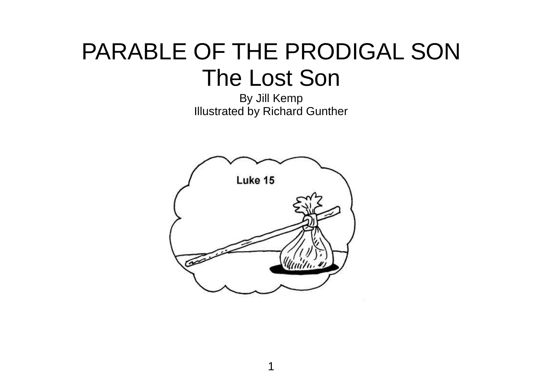## PARABLE OF THE PRODIGAL SON The Lost Son

By Jill Kemp Illustrated by Richard Gunther

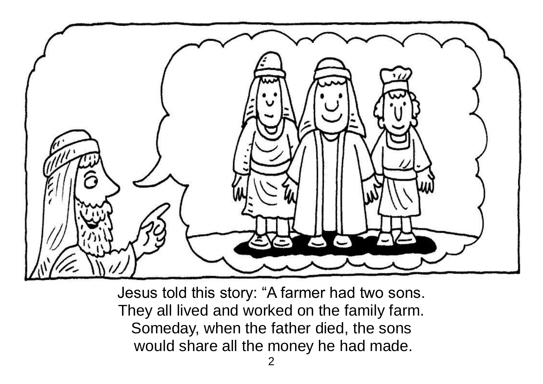

Jesus told this story: "A farmer had two sons. They all lived and worked on the family farm. Someday, when the father died, the sons would share all the money he had made.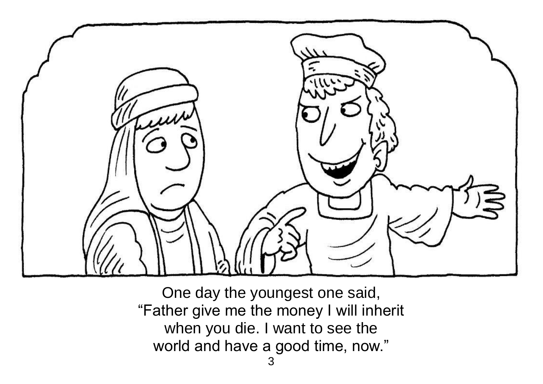

One day the youngest one said, "Father give me the money I will inherit when you die. I want to see the world and have a good time, now."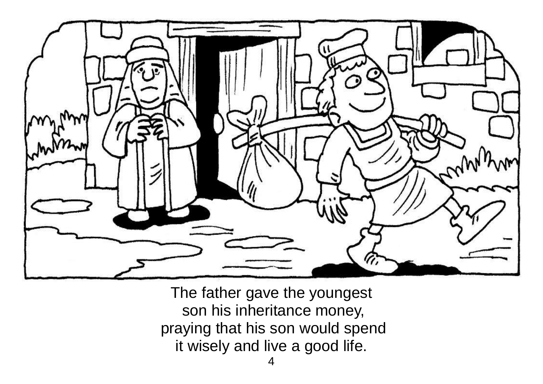

The father gave the youngest son his inheritance money, praying that his son would spend it wisely and live a good life.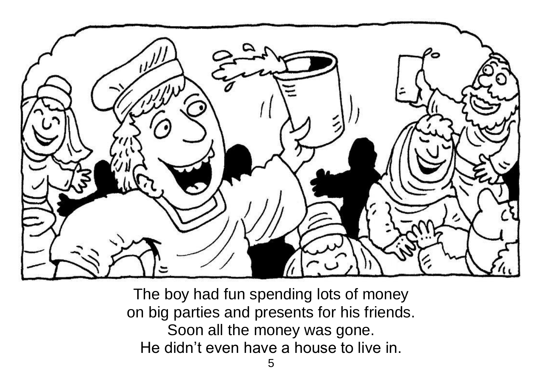

The boy had fun spending lots of money on big parties and presents for his friends. Soon all the money was gone. He didn't even have a house to live in.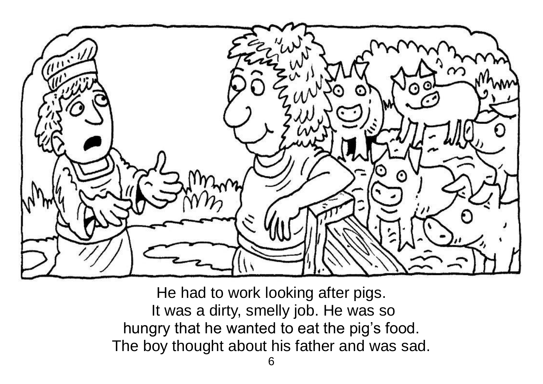

He had to work looking after pigs. It was a dirty, smelly job. He was so hungry that he wanted to eat the pig's food. The boy thought about his father and was sad.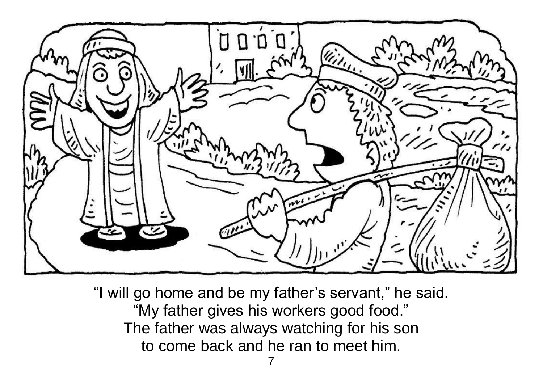

"I will go home and be my father's servant," he said. "My father gives his workers good food." The father was always watching for his son to come back and he ran to meet him.